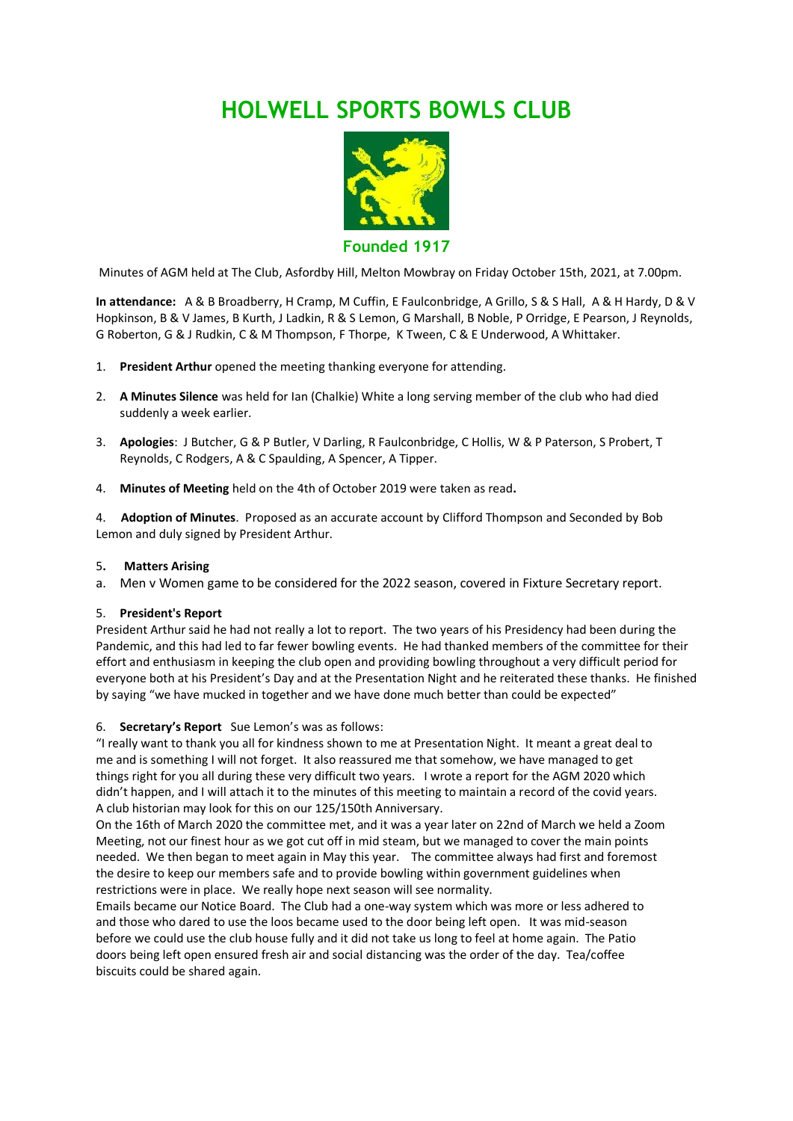# **HOLWELL SPORTS BOWLS CLUB**



**Founded 1917**

Minutes of AGM held at The Club, Asfordby Hill, Melton Mowbray on Friday October 15th, 2021, at 7.00pm.

**In attendance:** A & B Broadberry, H Cramp, M Cuffin, E Faulconbridge, A Grillo, S & S Hall, A & H Hardy, D & V Hopkinson, B & V James, B Kurth, J Ladkin, R & S Lemon, G Marshall, B Noble, P Orridge, E Pearson, J Reynolds, G Roberton, G & J Rudkin, C & M Thompson, F Thorpe, K Tween, C & E Underwood, A Whittaker.

- 1. **President Arthur** opened the meeting thanking everyone for attending.
- 2. **A Minutes Silence** was held for Ian (Chalkie) White a long serving member of the club who had died suddenly a week earlier.
- 3. **Apologies**: J Butcher, G & P Butler, V Darling, R Faulconbridge, C Hollis, W & P Paterson, S Probert, T Reynolds, C Rodgers, A & C Spaulding, A Spencer, A Tipper.
- 4. **Minutes of Meeting** held on the 4th of October 2019 were taken as read**.**

4. **Adoption of Minutes**. Proposed as an accurate account by Clifford Thompson and Seconded by Bob Lemon and duly signed by President Arthur.

#### 5**. Matters Arising**

a. Men v Women game to be considered for the 2022 season, covered in Fixture Secretary report.

#### 5. **President's Report**

President Arthur said he had not really a lot to report. The two years of his Presidency had been during the Pandemic, and this had led to far fewer bowling events. He had thanked members of the committee for their effort and enthusiasm in keeping the club open and providing bowling throughout a very difficult period for everyone both at his President's Day and at the Presentation Night and he reiterated these thanks. He finished by saying "we have mucked in together and we have done much better than could be expected"

#### 6. **Secretary's Report** Sue Lemon's was as follows:

"I really want to thank you all for kindness shown to me at Presentation Night. It meant a great deal to me and is something I will not forget. It also reassured me that somehow, we have managed to get things right for you all during these very difficult two years. I wrote a report for the AGM 2020 which didn't happen, and I will attach it to the minutes of this meeting to maintain a record of the covid years. A club historian may look for this on our 125/150th Anniversary.

On the 16th of March 2020 the committee met, and it was a year later on 22nd of March we held a Zoom Meeting, not our finest hour as we got cut off in mid steam, but we managed to cover the main points needed. We then began to meet again in May this year. The committee always had first and foremost the desire to keep our members safe and to provide bowling within government guidelines when restrictions were in place. We really hope next season will see normality.

Emails became our Notice Board. The Club had a one-way system which was more or less adhered to and those who dared to use the loos became used to the door being left open. It was mid-season before we could use the club house fully and it did not take us long to feel at home again. The Patio doors being left open ensured fresh air and social distancing was the order of the day. Tea/coffee biscuits could be shared again.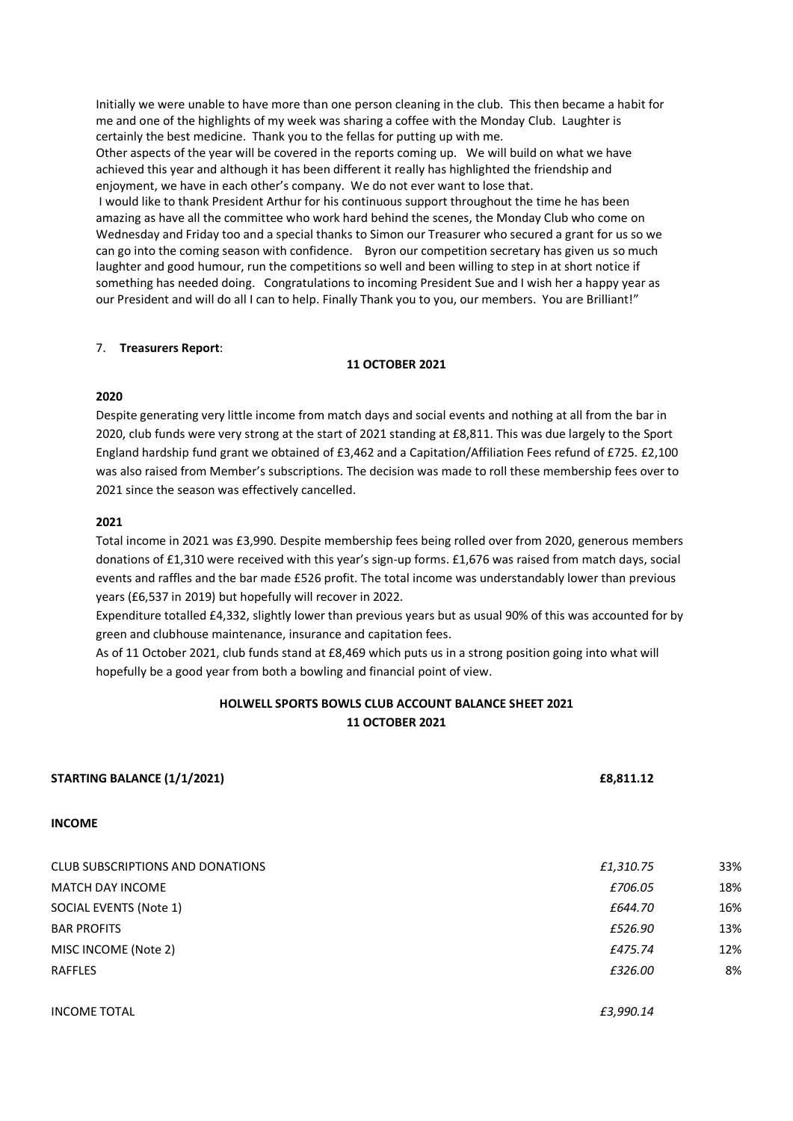Initially we were unable to have more than one person cleaning in the club. This then became a habit for me and one of the highlights of my week was sharing a coffee with the Monday Club. Laughter is certainly the best medicine. Thank you to the fellas for putting up with me.

Other aspects of the year will be covered in the reports coming up. We will build on what we have achieved this year and although it has been different it really has highlighted the friendship and enjoyment, we have in each other's company. We do not ever want to lose that.

I would like to thank President Arthur for his continuous support throughout the time he has been amazing as have all the committee who work hard behind the scenes, the Monday Club who come on Wednesday and Friday too and a special thanks to Simon our Treasurer who secured a grant for us so we can go into the coming season with confidence. Byron our competition secretary has given us so much laughter and good humour, run the competitions so well and been willing to step in at short notice if something has needed doing. Congratulations to incoming President Sue and I wish her a happy year as our President and will do all I can to help. Finally Thank you to you, our members. You are Brilliant!"

#### 7. **Treasurers Report**:

#### **11 OCTOBER 2021**

## **2020**

Despite generating very little income from match days and social events and nothing at all from the bar in 2020, club funds were very strong at the start of 2021 standing at £8,811. This was due largely to the Sport England hardship fund grant we obtained of £3,462 and a Capitation/Affiliation Fees refund of £725. £2,100 was also raised from Member's subscriptions. The decision was made to roll these membership fees over to 2021 since the season was effectively cancelled.

# **2021**

Total income in 2021 was £3,990. Despite membership fees being rolled over from 2020, generous members donations of £1,310 were received with this year's sign-up forms. £1,676 was raised from match days, social events and raffles and the bar made £526 profit. The total income was understandably lower than previous years (£6,537 in 2019) but hopefully will recover in 2022.

Expenditure totalled £4,332, slightly lower than previous years but as usual 90% of this was accounted for by green and clubhouse maintenance, insurance and capitation fees.

As of 11 October 2021, club funds stand at £8,469 which puts us in a strong position going into what will hopefully be a good year from both a bowling and financial point of view.

# **HOLWELL SPORTS BOWLS CLUB ACCOUNT BALANCE SHEET 2021 11 OCTOBER 2021**

| <b>STARTING BALANCE (1/1/2021)</b>      | £8,811.12 |     |
|-----------------------------------------|-----------|-----|
| <b>INCOME</b>                           |           |     |
| <b>CLUB SUBSCRIPTIONS AND DONATIONS</b> | £1,310.75 | 33% |
| <b>MATCH DAY INCOME</b>                 | £706.05   | 18% |
| SOCIAL EVENTS (Note 1)                  | £644.70   | 16% |
| <b>BAR PROFITS</b>                      | £526.90   | 13% |
| MISC INCOME (Note 2)                    | £475.74   | 12% |
| <b>RAFFLES</b>                          | £326.00   | 8%  |
| <b>INCOME TOTAL</b>                     | £3,990.14 |     |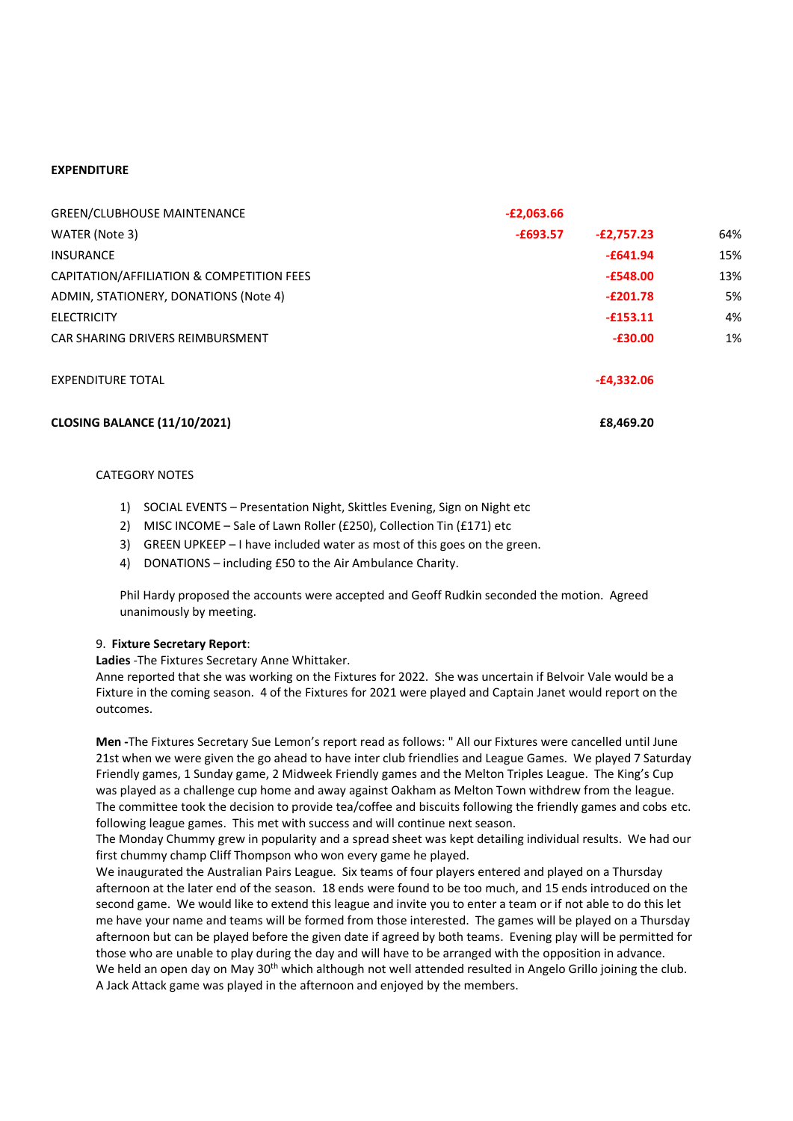# **EXPENDITURE**

| <b>GREEN/CLUBHOUSE MAINTENANCE</b>        | $-E2,063.66$ |              |     |
|-------------------------------------------|--------------|--------------|-----|
| WATER (Note 3)                            | $-£693.57$   | $-E2,757.23$ | 64% |
| <b>INSURANCE</b>                          |              | $-£641.94$   | 15% |
| CAPITATION/AFFILIATION & COMPETITION FEES |              | $-£548.00$   | 13% |
| ADMIN, STATIONERY, DONATIONS (Note 4)     |              | $-E201.78$   | 5%  |
| <b>ELECTRICITY</b>                        |              | $-£153.11$   | 4%  |
| CAR SHARING DRIVERS REIMBURSMENT          |              | $-£30.00$    | 1%  |
| <b>EXPENDITURE TOTAL</b>                  |              | $-E4,332.06$ |     |
| <b>CLOSING BALANCE (11/10/2021)</b>       |              | £8.469.20    |     |

#### CATEGORY NOTES

- 1) SOCIAL EVENTS Presentation Night, Skittles Evening, Sign on Night etc
- 2) MISC INCOME Sale of Lawn Roller (£250), Collection Tin (£171) etc
- 3) GREEN UPKEEP I have included water as most of this goes on the green.
- 4) DONATIONS including £50 to the Air Ambulance Charity.

Phil Hardy proposed the accounts were accepted and Geoff Rudkin seconded the motion. Agreed unanimously by meeting.

#### 9. **Fixture Secretary Report**:

**Ladies** -The Fixtures Secretary Anne Whittaker.

Anne reported that she was working on the Fixtures for 2022. She was uncertain if Belvoir Vale would be a Fixture in the coming season. 4 of the Fixtures for 2021 were played and Captain Janet would report on the outcomes.

**Men -**The Fixtures Secretary Sue Lemon's report read as follows: " All our Fixtures were cancelled until June 21st when we were given the go ahead to have inter club friendlies and League Games. We played 7 Saturday Friendly games, 1 Sunday game, 2 Midweek Friendly games and the Melton Triples League. The King's Cup was played as a challenge cup home and away against Oakham as Melton Town withdrew from the league. The committee took the decision to provide tea/coffee and biscuits following the friendly games and cobs etc. following league games. This met with success and will continue next season.

The Monday Chummy grew in popularity and a spread sheet was kept detailing individual results. We had our first chummy champ Cliff Thompson who won every game he played.

We inaugurated the Australian Pairs League. Six teams of four players entered and played on a Thursday afternoon at the later end of the season. 18 ends were found to be too much, and 15 ends introduced on the second game. We would like to extend this league and invite you to enter a team or if not able to do this let me have your name and teams will be formed from those interested. The games will be played on a Thursday afternoon but can be played before the given date if agreed by both teams. Evening play will be permitted for those who are unable to play during the day and will have to be arranged with the opposition in advance. We held an open day on May 30<sup>th</sup> which although not well attended resulted in Angelo Grillo joining the club. A Jack Attack game was played in the afternoon and enjoyed by the members.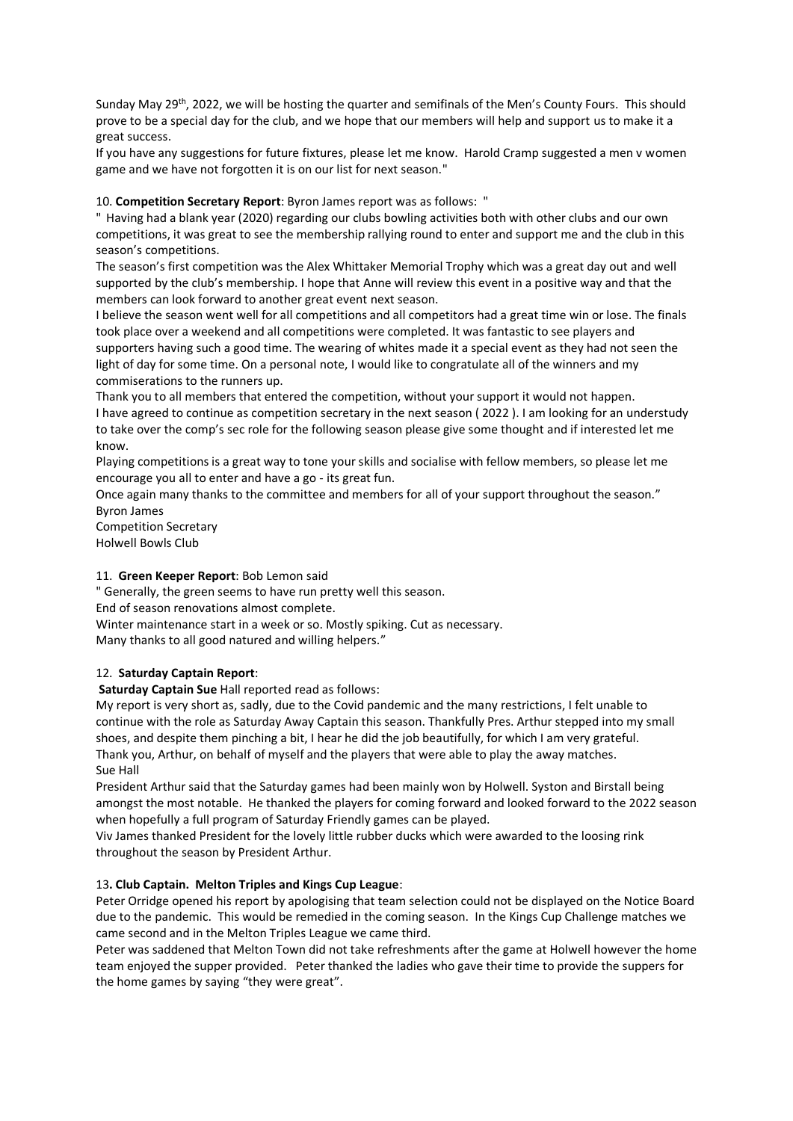Sunday May 29th, 2022, we will be hosting the quarter and semifinals of the Men's County Fours. This should prove to be a special day for the club, and we hope that our members will help and support us to make it a great success.

If you have any suggestions for future fixtures, please let me know. Harold Cramp suggested a men v women game and we have not forgotten it is on our list for next season."

10. **Competition Secretary Report**: Byron James report was as follows: "

" Having had a blank year (2020) regarding our clubs bowling activities both with other clubs and our own competitions, it was great to see the membership rallying round to enter and support me and the club in this season's competitions.

The season's first competition was the Alex Whittaker Memorial Trophy which was a great day out and well supported by the club's membership. I hope that Anne will review this event in a positive way and that the members can look forward to another great event next season.

I believe the season went well for all competitions and all competitors had a great time win or lose. The finals took place over a weekend and all competitions were completed. It was fantastic to see players and supporters having such a good time. The wearing of whites made it a special event as they had not seen the light of day for some time. On a personal note, I would like to congratulate all of the winners and my commiserations to the runners up.

Thank you to all members that entered the competition, without your support it would not happen. I have agreed to continue as competition secretary in the next season ( 2022 ). I am looking for an understudy to take over the comp's sec role for the following season please give some thought and if interested let me know.

Playing competitions is a great way to tone your skills and socialise with fellow members, so please let me encourage you all to enter and have a go - its great fun.

Once again many thanks to the committee and members for all of your support throughout the season." Byron James

Competition Secretary Holwell Bowls Club

#### 11. **Green Keeper Report**: Bob Lemon said

" Generally, the green seems to have run pretty well this season.

End of season renovations almost complete.

Winter maintenance start in a week or so. Mostly spiking. Cut as necessary. Many thanks to all good natured and willing helpers."

#### 12. **Saturday Captain Report**:

**Saturday Captain Sue** Hall reported read as follows:

My report is very short as, sadly, due to the Covid pandemic and the many restrictions, I felt unable to continue with the role as Saturday Away Captain this season. Thankfully Pres. Arthur stepped into my small shoes, and despite them pinching a bit, I hear he did the job beautifully, for which I am very grateful. Thank you, Arthur, on behalf of myself and the players that were able to play the away matches. Sue Hall

President Arthur said that the Saturday games had been mainly won by Holwell. Syston and Birstall being amongst the most notable. He thanked the players for coming forward and looked forward to the 2022 season when hopefully a full program of Saturday Friendly games can be played.

Viv James thanked President for the lovely little rubber ducks which were awarded to the loosing rink throughout the season by President Arthur.

#### 13**. Club Captain. Melton Triples and Kings Cup League**:

Peter Orridge opened his report by apologising that team selection could not be displayed on the Notice Board due to the pandemic. This would be remedied in the coming season. In the Kings Cup Challenge matches we came second and in the Melton Triples League we came third.

Peter was saddened that Melton Town did not take refreshments after the game at Holwell however the home team enjoyed the supper provided. Peter thanked the ladies who gave their time to provide the suppers for the home games by saying "they were great".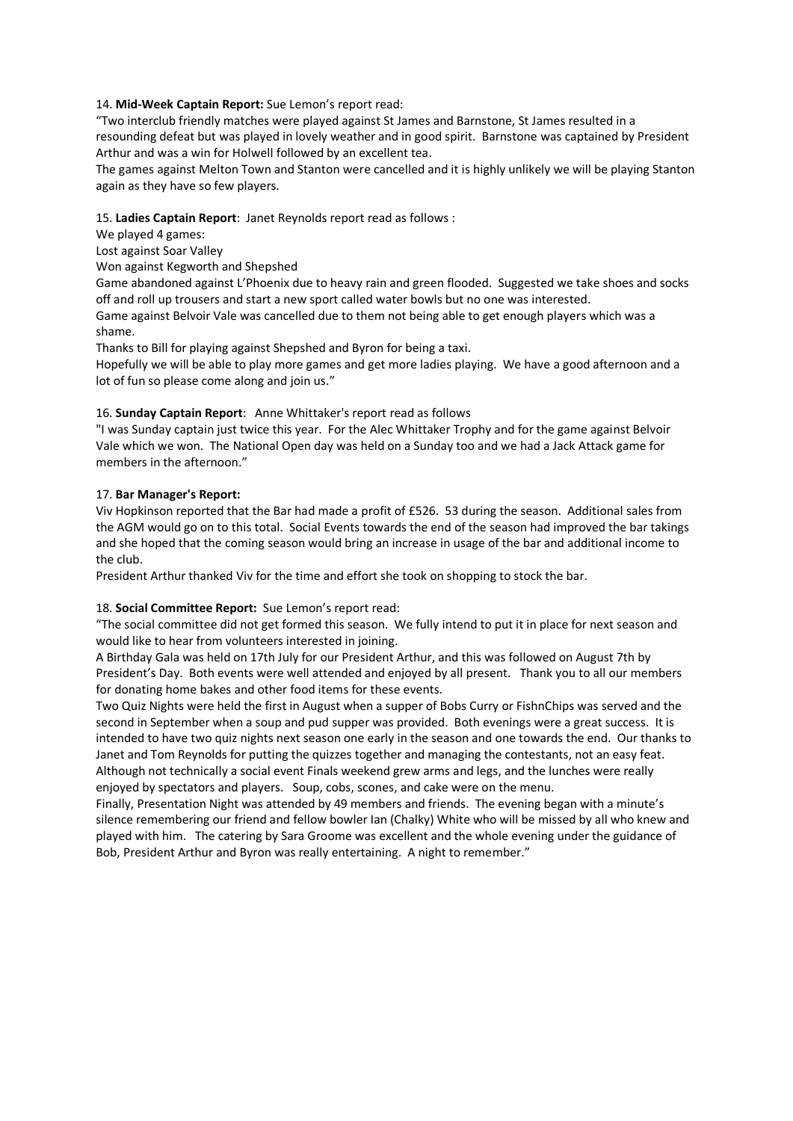## 14. **Mid-Week Captain Report:** Sue Lemon's report read:

"Two interclub friendly matches were played against St James and Barnstone, St James resulted in a resounding defeat but was played in lovely weather and in good spirit. Barnstone was captained by President Arthur and was a win for Holwell followed by an excellent tea.

The games against Melton Town and Stanton were cancelled and it is highly unlikely we will be playing Stanton again as they have so few players.

#### 15. **Ladies Captain Report**: Janet Reynolds report read as follows :

We played 4 games:

Lost against Soar Valley

Won against Kegworth and Shepshed

Game abandoned against L'Phoenix due to heavy rain and green flooded. Suggested we take shoes and socks off and roll up trousers and start a new sport called water bowls but no one was interested.

Game against Belvoir Vale was cancelled due to them not being able to get enough players which was a shame.

Thanks to Bill for playing against Shepshed and Byron for being a taxi.

Hopefully we will be able to play more games and get more ladies playing. We have a good afternoon and a lot of fun so please come along and join us."

## 16. **Sunday Captain Report**: Anne Whittaker's report read as follows

"I was Sunday captain just twice this year. For the Alec Whittaker Trophy and for the game against Belvoir Vale which we won. The National Open day was held on a Sunday too and we had a Jack Attack game for members in the afternoon."

## 17. **Bar Manager's Report:**

Viv Hopkinson reported that the Bar had made a profit of £526. 53 during the season. Additional sales from the AGM would go on to this total. Social Events towards the end of the season had improved the bar takings and she hoped that the coming season would bring an increase in usage of the bar and additional income to the club.

President Arthur thanked Viv for the time and effort she took on shopping to stock the bar.

# 18. **Social Committee Report:** Sue Lemon's report read:

"The social committee did not get formed this season. We fully intend to put it in place for next season and would like to hear from volunteers interested in joining.

A Birthday Gala was held on 17th July for our President Arthur, and this was followed on August 7th by President's Day. Both events were well attended and enjoyed by all present. Thank you to all our members for donating home bakes and other food items for these events.

Two Quiz Nights were held the first in August when a supper of Bobs Curry or FishnChips was served and the second in September when a soup and pud supper was provided. Both evenings were a great success. It is intended to have two quiz nights next season one early in the season and one towards the end. Our thanks to Janet and Tom Reynolds for putting the quizzes together and managing the contestants, not an easy feat. Although not technically a social event Finals weekend grew arms and legs, and the lunches were really enjoyed by spectators and players. Soup, cobs, scones, and cake were on the menu.

Finally, Presentation Night was attended by 49 members and friends. The evening began with a minute's silence remembering our friend and fellow bowler Ian (Chalky) White who will be missed by all who knew and played with him. The catering by Sara Groome was excellent and the whole evening under the guidance of Bob, President Arthur and Byron was really entertaining. A night to remember."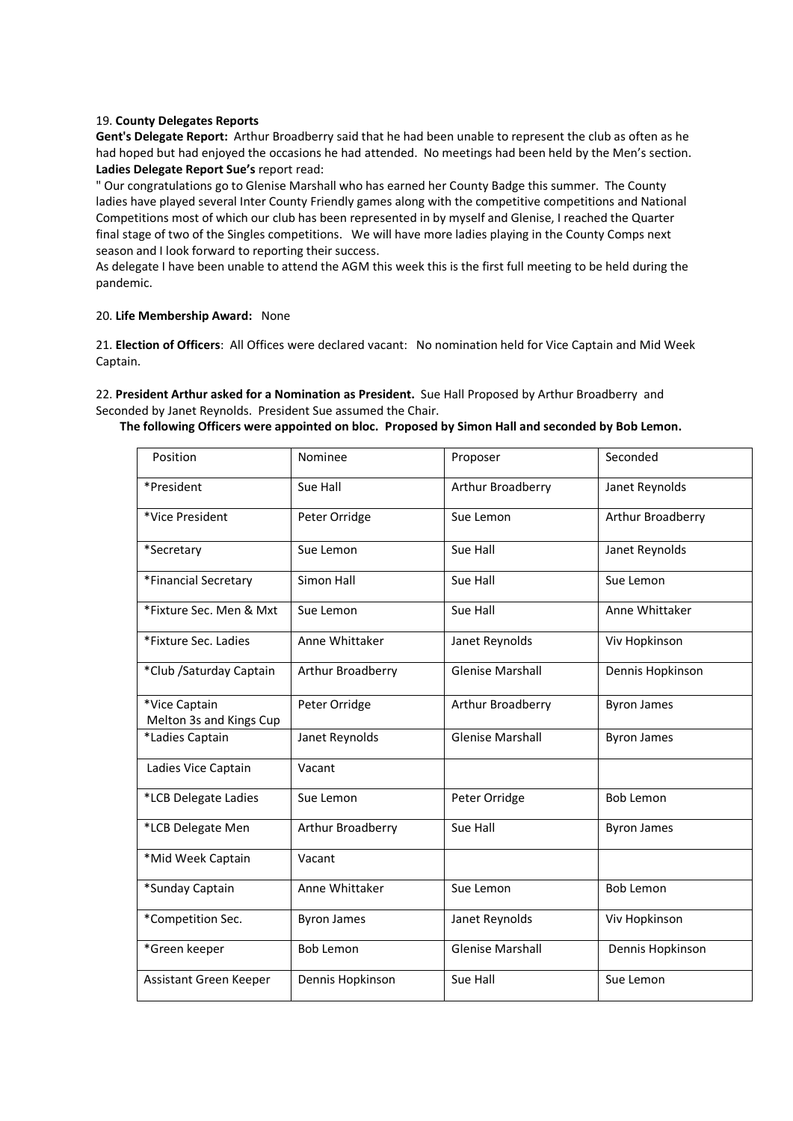#### 19. **County Delegates Reports**

**Gent's Delegate Report:** Arthur Broadberry said that he had been unable to represent the club as often as he had hoped but had enjoyed the occasions he had attended. No meetings had been held by the Men's section. **Ladies Delegate Report Sue's** report read:

" Our congratulations go to Glenise Marshall who has earned her County Badge this summer. The County ladies have played several Inter County Friendly games along with the competitive competitions and National Competitions most of which our club has been represented in by myself and Glenise, I reached the Quarter final stage of two of the Singles competitions. We will have more ladies playing in the County Comps next season and I look forward to reporting their success.

As delegate I have been unable to attend the AGM this week this is the first full meeting to be held during the pandemic.

#### 20. **Life Membership Award:** None

21. **Election of Officers**: All Offices were declared vacant: No nomination held for Vice Captain and Mid Week Captain.

22. **President Arthur asked for a Nomination as President.** Sue Hall Proposed by Arthur Broadberry and Seconded by Janet Reynolds. President Sue assumed the Chair.

#### **The following Officers were appointed on bloc. Proposed by Simon Hall and seconded by Bob Lemon.**

| Position                                 | Nominee            | Proposer                | Seconded           |
|------------------------------------------|--------------------|-------------------------|--------------------|
| *President                               | Sue Hall           | Arthur Broadberry       | Janet Reynolds     |
| *Vice President                          | Peter Orridge      | Sue Lemon               | Arthur Broadberry  |
| *Secretary                               | Sue Lemon          | Sue Hall                | Janet Reynolds     |
| *Financial Secretary                     | Simon Hall         | Sue Hall                | Sue Lemon          |
| *Fixture Sec. Men & Mxt                  | Sue Lemon          | Sue Hall                | Anne Whittaker     |
| *Fixture Sec. Ladies                     | Anne Whittaker     | Janet Reynolds          | Viv Hopkinson      |
| *Club / Saturday Captain                 | Arthur Broadberry  | <b>Glenise Marshall</b> | Dennis Hopkinson   |
| *Vice Captain<br>Melton 3s and Kings Cup | Peter Orridge      | Arthur Broadberry       | <b>Byron James</b> |
| *Ladies Captain                          | Janet Reynolds     | <b>Glenise Marshall</b> | <b>Byron James</b> |
| Ladies Vice Captain                      | Vacant             |                         |                    |
| *LCB Delegate Ladies                     | Sue Lemon          | Peter Orridge           | <b>Bob Lemon</b>   |
| *LCB Delegate Men                        | Arthur Broadberry  | Sue Hall                | <b>Byron James</b> |
| *Mid Week Captain                        | Vacant             |                         |                    |
| *Sunday Captain                          | Anne Whittaker     | Sue Lemon               | <b>Bob Lemon</b>   |
| *Competition Sec.                        | <b>Byron James</b> | Janet Reynolds          | Viv Hopkinson      |
| *Green keeper                            | <b>Bob Lemon</b>   | <b>Glenise Marshall</b> | Dennis Hopkinson   |
| Assistant Green Keeper                   | Dennis Hopkinson   | Sue Hall                | Sue Lemon          |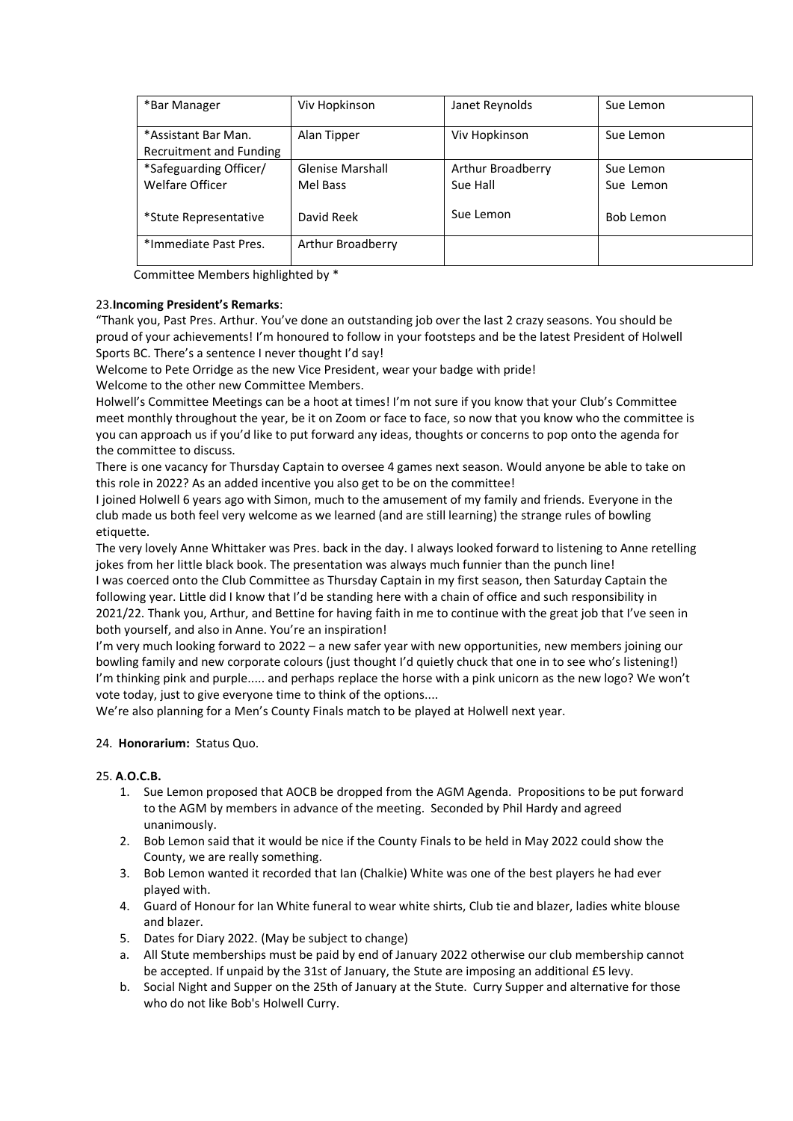| *Bar Manager                                     | Viv Hopkinson                       | Janet Reynolds                             | Sue Lemon              |
|--------------------------------------------------|-------------------------------------|--------------------------------------------|------------------------|
| *Assistant Bar Man.<br>Recruitment and Funding   | Alan Tipper                         | Viv Hopkinson                              | Sue Lemon              |
| *Safeguarding Officer/<br><b>Welfare Officer</b> | <b>Glenise Marshall</b><br>Mel Bass | Arthur Broadberry<br>Sue Hall<br>Sue Lemon | Sue Lemon<br>Sue Lemon |
| *Stute Representative                            | David Reek                          |                                            | Bob Lemon              |
| *Immediate Past Pres.                            | Arthur Broadberry                   |                                            |                        |

Committee Members highlighted by \*

## 23.**Incoming President's Remarks**:

"Thank you, Past Pres. Arthur. You've done an outstanding job over the last 2 crazy seasons. You should be proud of your achievements! I'm honoured to follow in your footsteps and be the latest President of Holwell Sports BC. There's a sentence I never thought I'd say!

Welcome to Pete Orridge as the new Vice President, wear your badge with pride!

Welcome to the other new Committee Members.

Holwell's Committee Meetings can be a hoot at times! I'm not sure if you know that your Club's Committee meet monthly throughout the year, be it on Zoom or face to face, so now that you know who the committee is you can approach us if you'd like to put forward any ideas, thoughts or concerns to pop onto the agenda for the committee to discuss.

There is one vacancy for Thursday Captain to oversee 4 games next season. Would anyone be able to take on this role in 2022? As an added incentive you also get to be on the committee!

I joined Holwell 6 years ago with Simon, much to the amusement of my family and friends. Everyone in the club made us both feel very welcome as we learned (and are still learning) the strange rules of bowling etiquette.

The very lovely Anne Whittaker was Pres. back in the day. I always looked forward to listening to Anne retelling jokes from her little black book. The presentation was always much funnier than the punch line! I was coerced onto the Club Committee as Thursday Captain in my first season, then Saturday Captain the following year. Little did I know that I'd be standing here with a chain of office and such responsibility in 2021/22. Thank you, Arthur, and Bettine for having faith in me to continue with the great job that I've seen in both yourself, and also in Anne. You're an inspiration!

I'm very much looking forward to 2022 – a new safer year with new opportunities, new members joining our bowling family and new corporate colours (just thought I'd quietly chuck that one in to see who's listening!) I'm thinking pink and purple..... and perhaps replace the horse with a pink unicorn as the new logo? We won't vote today, just to give everyone time to think of the options....

We're also planning for a Men's County Finals match to be played at Holwell next year.

# 24. **Honorarium:** Status Quo.

## 25. **A**.**O.C.B.**

- 1. Sue Lemon proposed that AOCB be dropped from the AGM Agenda. Propositions to be put forward to the AGM by members in advance of the meeting. Seconded by Phil Hardy and agreed unanimously.
- 2. Bob Lemon said that it would be nice if the County Finals to be held in May 2022 could show the County, we are really something.
- 3. Bob Lemon wanted it recorded that Ian (Chalkie) White was one of the best players he had ever played with.
- 4. Guard of Honour for Ian White funeral to wear white shirts, Club tie and blazer, ladies white blouse and blazer.
- 5. Dates for Diary 2022. (May be subject to change)
- a. All Stute memberships must be paid by end of January 2022 otherwise our club membership cannot be accepted. If unpaid by the 31st of January, the Stute are imposing an additional £5 levy.
- b. Social Night and Supper on the 25th of January at the Stute. Curry Supper and alternative for those who do not like Bob's Holwell Curry.